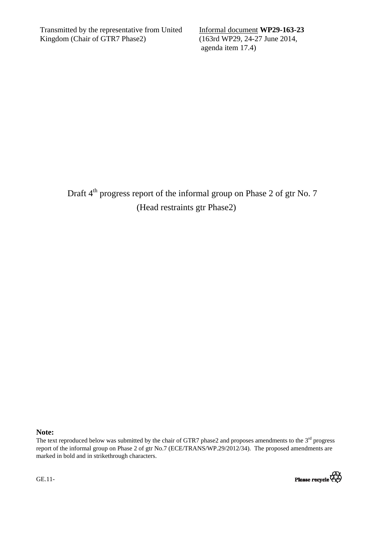Transmitted by the representative from United Kingdom (Chair of GTR7 Phase2)

Informal document **WP29-163-23** (163rd WP29, 24-27 June 2014, agenda item 17.4)

Draft 4<sup>th</sup> progress report of the informal group on Phase 2 of gtr No. 7 (Head restraints gtr Phase2)

## **Note:**

The text reproduced below was submitted by the chair of GTR7 phase2 and proposes amendments to the  $3<sup>rd</sup>$  progress report of the informal group on Phase 2 of gtr No.7 (ECE/TRANS/WP.29/2012/34). The proposed amendments are marked in bold and in strikethrough characters.



GE.11-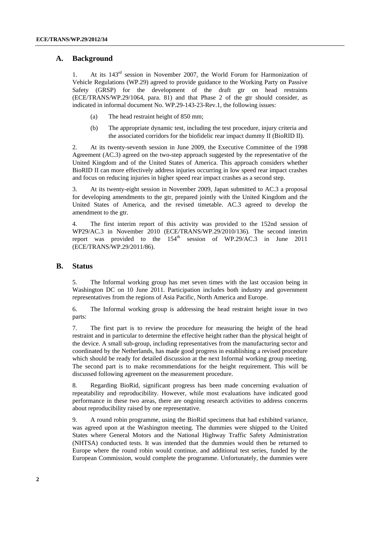## **A. Background**

1. At its 143rd session in November 2007, the World Forum for Harmonization of Vehicle Regulations (WP.29) agreed to provide guidance to the Working Party on Passive Safety (GRSP) for the development of the draft gtr on head restraints (ECE/TRANS/WP.29/1064, para. 81) and that Phase 2 of the gtr should consider, as indicated in informal document No. WP.29-143-23-Rev.1, the following issues:

- (a) The head restraint height of 850 mm;
- (b) The appropriate dynamic test, including the test procedure, injury criteria and the associated corridors for the biofidelic rear impact dummy II (BioRID II).

2. At its twenty-seventh session in June 2009, the Executive Committee of the 1998 Agreement (AC.3) agreed on the two-step approach suggested by the representative of the United Kingdom and of the United States of America. This approach considers whether BioRID II can more effectively address injuries occurring in low speed rear impact crashes and focus on reducing injuries in higher speed rear impact crashes as a second step.

3. At its twenty-eight session in November 2009, Japan submitted to AC.3 a proposal for developing amendments to the gtr, prepared jointly with the United Kingdom and the United States of America, and the revised timetable. AC.3 agreed to develop the amendment to the gtr.

4. The first interim report of this activity was provided to the 152nd session of WP29/AC.3 in November 2010 (ECE/TRANS/WP.29/2010/136). The second interim report was provided to the 154<sup>th</sup> session of WP.29/AC.3 in June 2011 (ECE/TRANS/WP.29/2011/86).

## **B. Status**

5. The Informal working group has met seven times with the last occasion being in Washington DC on 10 June 2011. Participation includes both industry and government representatives from the regions of Asia Pacific, North America and Europe.

6. The Informal working group is addressing the head restraint height issue in two parts:

7. The first part is to review the procedure for measuring the height of the head restraint and in particular to determine the effective height rather than the physical height of the device. A small sub-group, including representatives from the manufacturing sector and coordinated by the Netherlands, has made good progress in establishing a revised procedure which should be ready for detailed discussion at the next Informal working group meeting. The second part is to make recommendations for the height requirement. This will be discussed following agreement on the measurement procedure.

8. Regarding BioRid, significant progress has been made concerning evaluation of repeatability and reproducibility. However, while most evaluations have indicated good performance in these two areas, there are ongoing research activities to address concerns about reproducibility raised by one representative.

9. A round robin programme, using the BioRid specimens that had exhibited variance, was agreed upon at the Washington meeting. The dummies were shipped to the United States where General Motors and the National Highway Traffic Safety Administration (NHTSA) conducted tests. It was intended that the dummies would then be returned to Europe where the round robin would continue**,** and additional test series, funded by the European Commission, would complete the programme. Unfortunately, the dummies were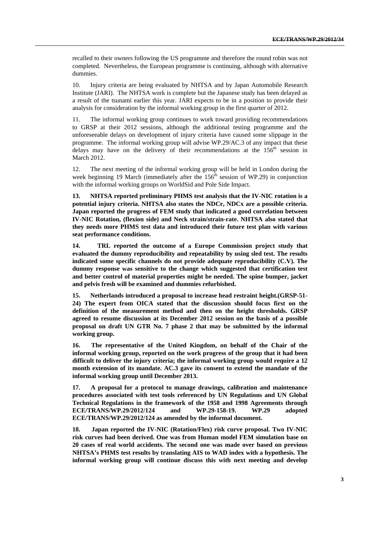recalled to their owners following the US programme and therefore the round robin was not completed. Nevertheless, the European programme is continuing, although with alternative dummies.

10. Injury criteria are being evaluated by NHTSA and by Japan Automobile Research Institute (JARI). The NHTSA work is complete but the Japanese study has been delayed as a result of the tsunami earlier this year. JARI expects to be in a position to provide their analysis for consideration by the informal working group in the first quarter of 2012.

11. The informal working group continues to work toward providing recommendations to GRSP at their 2012 sessions, although the additional testing programme and the unforeseeable delays on development of injury criteria have caused some slippage in the programme. The informal working group will advise WP.29/AC.3 of any impact that these delays may have on the delivery of their recommendations at the 156<sup>th</sup> session in March 2012.

12. The next meeting of the informal working group will be held in London during the week beginning 19 March (immediately after the  $156<sup>th</sup>$  session of WP.29) in conjunction with the informal working groups on WorldSid and Pole Side Impact.

**13. NHTSA reported preliminary PHMS test analysis that the IV-NIC rotation is a potential injury criteria. NHTSA also states the NDCr, NDCx are a possible criteria. Japan reported the progress of FEM study that indicated a good correlation between IV-NIC Rotation, (flexion side) and Neck strain/strain-rate. NHTSA also stated that they needs more PHMS test data and introduced their future test plan with various seat performance conditions.** 

**14. TRL reported the outcome of a Europe Commission project study that evaluated the dummy reproducibility and repeatability by using sled test. The results indicated some specific channels do not provide adequate reproducibility (C.V). The dummy response was sensitive to the change which suggested that certification test and better control of material properties might be needed. The spine bumper, jacket and pelvis fresh will be examined and dummies refurbished.** 

**15. Netherlands introduced a proposal to increase head restraint height.(GRSP-51- 24) The expert from OICA stated that the discussion should focus first on the definition of the measurement method and then on the height thresholds. GRSP agreed to resume discussion at its December 2012 session on the basis of a possible proposal on draft UN GTR No. 7 phase 2 that may be submitted by the informal working group.** 

**16. The representative of the United Kingdom, on behalf of the Chair of the informal working group, reported on the work progress of the group that it had been difficult to deliver the injury criteria; the informal working group would require a 12 month extension of its mandate. AC.3 gave its consent to extend the mandate of the informal working group until December 2013.** 

**17. A proposal for a protocol to manage drawings, calibration and maintenance procedures associated with test tools referenced by UN Regulations and UN Global Technical Regulations in the framework of the 1958 and 1998 Agreements through ECE/TRANS/WP.29/2012/124 and WP.29-158-19. WP.29 adopted ECE/TRANS/WP.29/2012/124 as amended by the informal document.** 

**18. Japan reported the IV-NIC (Rotation/Flex) risk curve proposal. Two IV-NIC risk curves had been derived. One was from Human model FEM simulation base on 20 cases of real world accidents. The second one was made over based on previous NHTSA's PHMS test results by translating AIS to WAD index with a hypothesis. The informal working group will continue discuss this with next meeting and develop**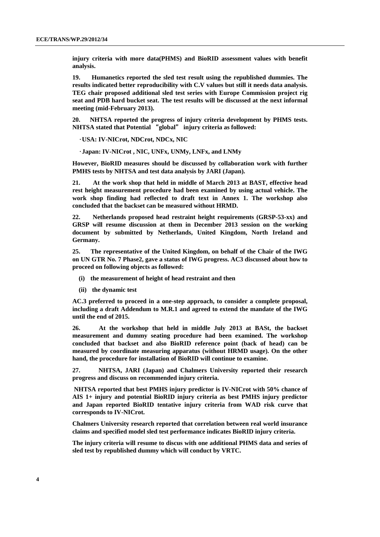**injury criteria with more data(PHMS) and BioRID assessment values with benefit analysis.** 

**19. Humanetics reported the sled test result using the republished dummies. The results indicated better reproducibility with C.V values but still it needs data analysis. TEG chair proposed additional sled test series with Europe Commission project rig seat and PDB hard bucket seat. The test results will be discussed at the next informal meeting (mid-February 2013).** 

**20. NHTSA reported the progress of injury criteria development by PHMS tests. NHTSA stated that Potential** "**global**" **injury criteria as followed:** 

•**USA: IV-NICrot, NDCrot, NDCx, NIC** 

•**Japan: IV-NICrot , NIC, UNFx, UNMy, LNFx, and LNMy** 

**However, BioRID measures should be discussed by collaboration work with further PMHS tests by NHTSA and test data analysis by JARI (Japan).** 

**21. At the work shop that held in middle of March 2013 at BAST, effective head rest height measurement procedure had been examined by using actual vehicle. The work shop finding had reflected to draft text in Annex 1. The workshop also concluded that the backset can be measured without HRMD.** 

**22. Netherlands proposed head restraint height requirements (GRSP-53-xx) and GRSP will resume discussion at them in December 2013 session on the working document by submitted by Netherlands, United Kingdom, North Ireland and Germany.** 

**25. The representative of the United Kingdom, on behalf of the Chair of the IWG on UN GTR No. 7 Phase2, gave a status of IWG progress. AC3 discussed about how to proceed on following objects as followed:** 

- **(i) the measurement of height of head restraint and then**
- **(ii) the dynamic test**

**AC.3 preferred to proceed in a one-step approach, to consider a complete proposal, including a draft Addendum to M.R.1 and agreed to extend the mandate of the IWG until the end of 2015.** 

**26. At the workshop that held in middle July 2013 at BASt, the backset measurement and dummy seating procedure had been examined. The workshop concluded that backset and also BioRID reference point (back of head) can be measured by coordinate measuring apparatus (without HRMD usage). On the other hand, the procedure for installation of BioRID will continue to examine.** 

**27. NHTSA, JARI (Japan) and Chalmers University reported their research progress and discuss on recommended injury criteria.** 

 **NHTSA reported that best PMHS injury predictor is IV-NICrot with 50% chance of AIS 1+ injury and potential BioRID injury criteria as best PMHS injury predictor and Japan reported BioRID tentative injury criteria from WAD risk curve that corresponds to IV-NICrot.** 

**Chalmers University research reported that correlation between real world insurance claims and specified model sled test performance indicates BioRID injury criteria.** 

**The injury criteria will resume to discus with one additional PHMS data and series of sled test by republished dummy which will conduct by VRTC.**